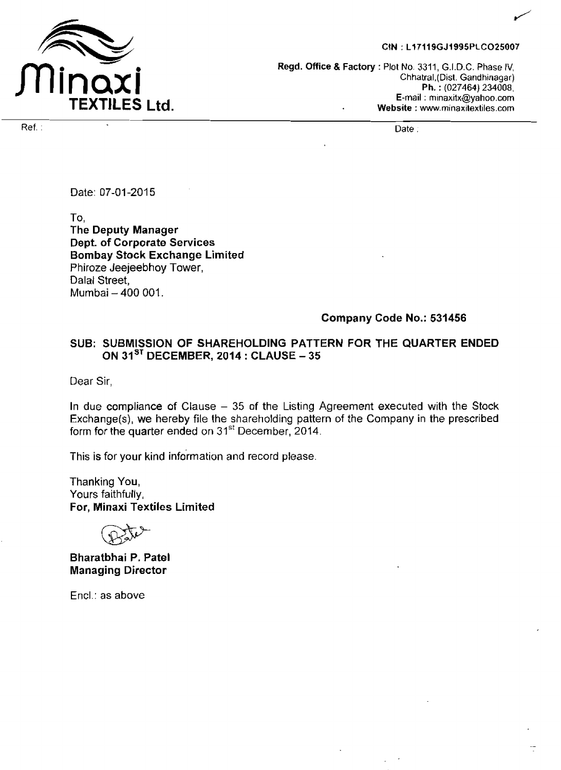

#### CIN: L17119GJ1995PLCO25007

**Regd. Office L Factory** : Plot **No.** 3311, G.I.D.C. Phase IV, Chhatral,(Dist. **Gandhinagar) P h.** : (027464) **234008, E-mail** : **minaxitx@yahoo.com Website** : **w.rninaxitextiles.com** 

Ref. : Date .

Date: 07-01-2015

To, **The Deputy Manager Dept. of Corporate Services Bombay Stock Exchange Limited**  Phiroze Jeejeebhoy Tower, Dalal Street, Mumbai - 400 001.

#### **Company Code No.: 531456**

## **SUB: SUBMISSION OF SHAREHOLDING PATTERN FOR THE QUARTER ENDED ON 31ST DECEMBER, 2014** : **CLAUSE** - **<sup>35</sup>**

Dear Sir,

In due compliance of Clause  $-35$  of the Listing Agreement executed with the Stock Exchange(s), we hereby file the sharehojding pattern of the Company in the prescribed form for the quarter ended on 31<sup>st</sup> December, 2014.

This is for your kind information and record please.

Thanking **You,**  Yours faithfully, **For, Minaxi Textiles Limited** 

**Bharatbhai P. Patel Managing Director** 

Encl.: **as** above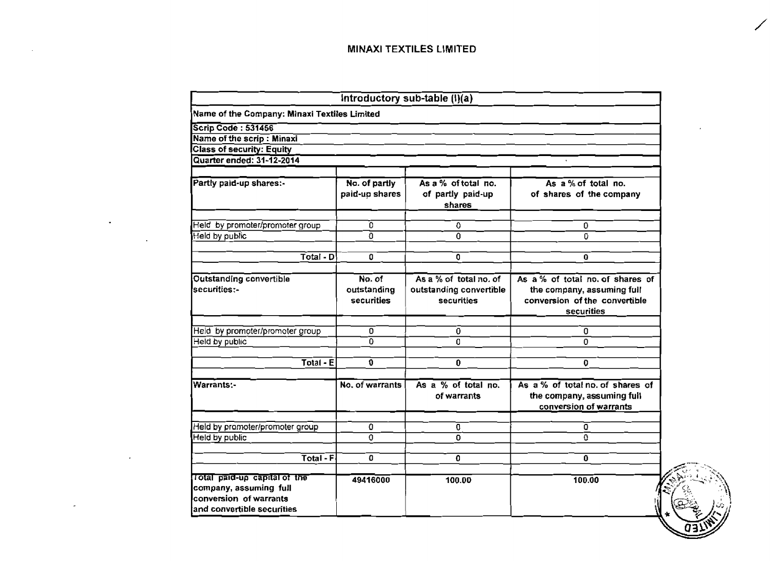|                                                                                                                |                                     | Introductory sub-table $(i)(a)$                                 |                                                                                                               |
|----------------------------------------------------------------------------------------------------------------|-------------------------------------|-----------------------------------------------------------------|---------------------------------------------------------------------------------------------------------------|
| Name of the Company: Minaxi Textiles Limited                                                                   |                                     |                                                                 |                                                                                                               |
| <b>Scrip Code: 531456</b>                                                                                      |                                     |                                                                 |                                                                                                               |
| Name of the scrip: Minaxi                                                                                      |                                     |                                                                 |                                                                                                               |
| <b>Class of security: Equity</b>                                                                               |                                     |                                                                 |                                                                                                               |
| Quarter ended: 31-12-2014                                                                                      |                                     |                                                                 |                                                                                                               |
| Partly paid-up shares:-                                                                                        | No. of partly<br>paid-up shares     | As a % of total no.<br>of partly paid-up<br>shares              | As a % of total no.<br>of shares of the company                                                               |
| Held by promoter/promoter group                                                                                | n.                                  | ٥                                                               | 0                                                                                                             |
| Held by public                                                                                                 | 0                                   | $\overline{0}$                                                  | 0.                                                                                                            |
| Total - D                                                                                                      | 0                                   | 0                                                               | $\mathbf{0}$                                                                                                  |
| Outstanding convertible<br>securities:-                                                                        | No. of<br>outstanding<br>securities | As a % of total no. of<br>outstanding convertible<br>securities | As a % of total no. of shares of<br>the company, assuming full<br>conversion of the convertible<br>securities |
| Held by promoter/promoter group                                                                                | $\Omega$                            | 0                                                               | 0                                                                                                             |
| Held by public                                                                                                 | n.                                  | 0                                                               | $\Omega$                                                                                                      |
| Total - E                                                                                                      | 0                                   | 0                                                               | 0                                                                                                             |
| <b>Warrants:-</b>                                                                                              | No. of warrants                     | As a % of total no.<br>of warrants                              | As a % of total no. of shares of<br>the company, assuming full<br>conversion of warrants                      |
| Held by promoter/promoter group                                                                                | ٥                                   | Û                                                               | 0                                                                                                             |
| Held by public                                                                                                 | 0                                   | 0                                                               | Ū.                                                                                                            |
| Total - F                                                                                                      | O                                   | 0                                                               | 0                                                                                                             |
| Total paid-up capital of the<br>company, assuming full<br>conversion of warrants<br>and convertible securities | 49416000                            | 100.00                                                          | 100.00                                                                                                        |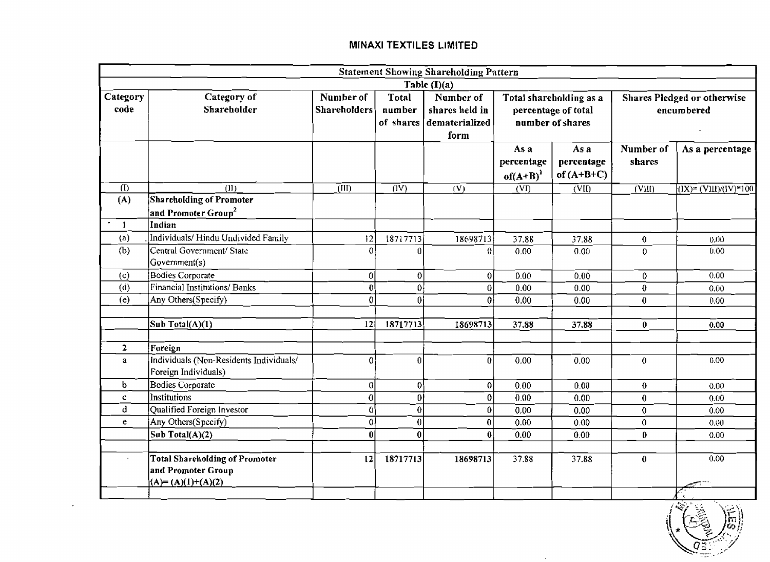|                           |                                                                                    |                                  |                        | <b>Statement Showing Shareholding Pattern</b>                   |                                                                    |                                    |                                           |                                  |
|---------------------------|------------------------------------------------------------------------------------|----------------------------------|------------------------|-----------------------------------------------------------------|--------------------------------------------------------------------|------------------------------------|-------------------------------------------|----------------------------------|
|                           |                                                                                    |                                  |                        | $\overline{\text{Table (I)}(a)}$                                |                                                                    |                                    |                                           |                                  |
| Category<br>code          | Category of<br>Shareholder                                                         | Number of<br><b>Shareholders</b> | <b>Total</b><br>number | Number of<br>shares held in<br>of shares dematerialized<br>form | Total shareholding as a<br>percentage of total<br>number of shares |                                    | Shares Pledged or otherwise<br>encumbered |                                  |
|                           |                                                                                    |                                  |                        |                                                                 | As a<br>percentage<br>$of(A+B)^{1}$                                | As a<br>percentage<br>of $(A+B+C)$ | Number of<br>shares                       | As a percentage                  |
| (1)                       | (11)                                                                               | $\overline{\text{d}}$            | $\overline{(\rm IV)}$  | (V)                                                             | (VI)                                                               | $\overline{\text{C}}$ VII)         | $\overline{\rm (VM)}$                     | $\sqrt{(IX)^2} (VIII)/(IV)^*100$ |
| (A)                       | Shareholding of Promoter<br>and Promoter Group <sup>2</sup>                        |                                  |                        |                                                                 |                                                                    |                                    |                                           |                                  |
| $\bullet$<br>$\mathbf{1}$ | Indian                                                                             |                                  |                        |                                                                 |                                                                    |                                    |                                           |                                  |
| $\left( a\right)$         | Individuals/ Hindu Undivided Family                                                | 12                               | 18717713               | 18698713                                                        | 37.88                                                              | 37.88                              | $\mathbf{0}$                              | 0.00                             |
| (b)                       | Central Government/ State<br>Government(s)                                         | $\Omega$                         | n                      | $\Omega$                                                        | 0.00                                                               | 0.00                               | 0                                         | 0.00                             |
| (c)                       | Bodies Corporate                                                                   | 0                                | $\mathbf{0}$           | $\overline{0}$                                                  | 0.00                                                               | 0.00                               | $\overline{0}$                            | 0.00                             |
| (d)                       | <b>Financial Institutions/Banks</b>                                                | ŋl                               | 0                      | $\overline{0}$                                                  | 0.00                                                               | 0.00                               | $\bf{0}$                                  | 0.00                             |
| (e)                       | Any Others(Specify)                                                                | 0                                | ۵l                     | Ωİ                                                              | 0.00                                                               | 0.00                               | $\mathbf{0}$                              | 0.00                             |
|                           | Sub Total(A)(1)                                                                    | 12                               | 18717713               | 18698713                                                        | 37.88                                                              | 37.88                              | $\mathbf{0}$                              | 0.00                             |
| $\mathbf{2}$              | Foreign                                                                            |                                  |                        |                                                                 |                                                                    |                                    |                                           |                                  |
| a                         | Individuals (Non-Residents Individuals/<br>Foreign Individuals)                    | 0                                | 0                      | ΩI                                                              | 0.00                                                               | 0.00                               | $\theta$                                  | 0.00                             |
| $\mathbf b$               | <b>Bodies Corporate</b>                                                            | 0l                               | 0                      | 0                                                               | 0.00                                                               | 0.00                               | $\bf{0}$                                  | 0.00                             |
| c.                        | Institutions                                                                       | $\bf{0}$                         | 0İ                     | $\overline{0}$                                                  | 0.00                                                               | 0.00                               | $\bf{0}$                                  | 0.00                             |
| $\mathbf d$               | Qualified Foreign Investor                                                         | $\mathbf{0}$                     | $\theta$               | 0 <sup>1</sup>                                                  | 0.00                                                               | 0.00                               | $\boldsymbol{0}$                          | 0.00                             |
| e.                        | Any Others(Specify)                                                                | 0                                | $\bf{0}$               | 0                                                               | 0.00                                                               | 0.00                               | $\mathbf{0}$                              | 0.00                             |
|                           | Sub Total $(A)(2)$                                                                 | $\mathbf{0}$                     | $\bf{0}$               | -01                                                             | 0.00                                                               | 0.00                               | $\mathbf{0}$                              | 0.00                             |
| $\epsilon$                | <b>Total Shareholding of Promoter</b><br>and Promoter Group<br>$(A)=(A)(1)+(A)(2)$ | 12                               | 18717713               | 18698713                                                        | 37.88                                                              | 37.88                              | $\bf{0}$                                  | 0.00                             |



 $\sim$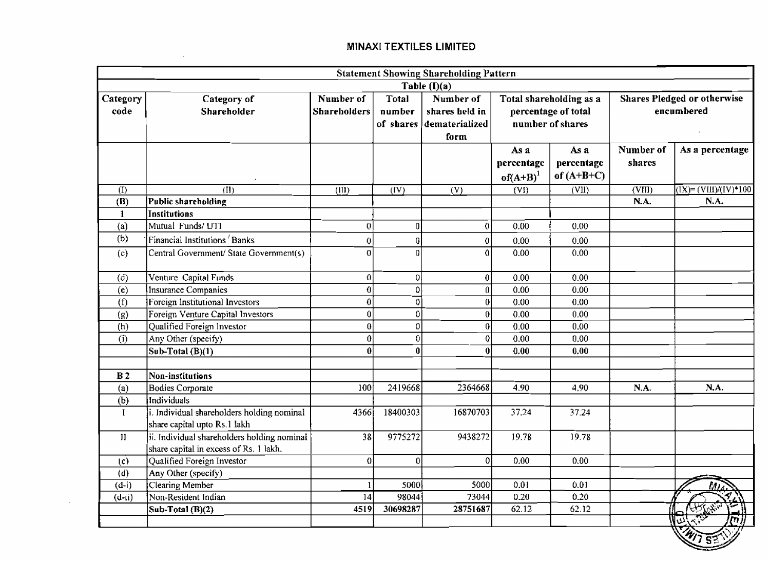the control of the state of the control

|                  |                                                                                       |                                  |                        | <b>Statement Showing Shareholding Pattern</b><br>Table $(I)(a)$ |                                                                    |                                    |                                                  |                                                            |  |
|------------------|---------------------------------------------------------------------------------------|----------------------------------|------------------------|-----------------------------------------------------------------|--------------------------------------------------------------------|------------------------------------|--------------------------------------------------|------------------------------------------------------------|--|
| Category<br>code | Category of<br>Shareholder                                                            | Number of<br><b>Shareholders</b> | <b>Total</b><br>number | Number of<br>shares held in<br>of shares dematerialized<br>form | Total shareholding as a<br>percentage of total<br>number of shares |                                    | <b>Shares Pledged or otherwise</b><br>encumbered |                                                            |  |
|                  |                                                                                       |                                  |                        |                                                                 | As a<br>percentage<br>$of(A+B)^1$                                  | As a<br>percentage<br>of $(A+B+C)$ | Number of<br>shares                              | As a percentage                                            |  |
| (1)              | (II)                                                                                  | $\overline{\text{(III)}}$        | $\overline{(IV)}$      | (V)                                                             | (VI)                                                               | (VII)                              | $\overline{\text{(VIII)}}$                       | $\overline{(\text{IX})} = (\text{VIII})/(\text{IV})$ * 100 |  |
| (B)              | Public shareholding                                                                   |                                  |                        |                                                                 |                                                                    |                                    | N.A.                                             | N.A.                                                       |  |
| $\mathbf{1}$     | Institutions                                                                          |                                  |                        |                                                                 |                                                                    |                                    |                                                  |                                                            |  |
| (a)              | Mutual Funds/UTI                                                                      | οI                               | $\boldsymbol{0}$       | 0                                                               | 0.00                                                               | 0.00                               |                                                  |                                                            |  |
| (b)              | Financial Institutions 'Banks                                                         | 0                                | $\boldsymbol{0}$       | $\overline{0}$                                                  | 0.00                                                               | 0.00                               |                                                  |                                                            |  |
| (c)              | Central Government/ State Government(s)                                               | O.                               | $\vert 0 \vert$        | $\Omega$                                                        | 0.00                                                               | 0.00                               |                                                  |                                                            |  |
| (d)              | Venture Capital Funds                                                                 | $\overline{0}$                   | $\overline{0}$         | 0                                                               | 0.00                                                               | 0.00                               |                                                  |                                                            |  |
| (e)              | Insurance Companies                                                                   | 0                                | $\mathbf 0$            | $\overline{0}$                                                  | 0.00                                                               | 0.00                               |                                                  |                                                            |  |
| (f)              | Foreign Institutional Investors                                                       | n                                | $\overline{0}$         | $\overline{0}$                                                  | 0.00                                                               | $\overline{0.00}$                  |                                                  |                                                            |  |
| (g)              | Foreign Venture Capital Investors                                                     |                                  | $\mathbf 0$            | $\overline{0}$                                                  | 0.00                                                               | 0.00                               |                                                  |                                                            |  |
| (h)              | Qualified Foreign Investor                                                            |                                  | $\boldsymbol{0}$       | $\overline{0}$                                                  | 0.00                                                               | 0.00                               |                                                  |                                                            |  |
| (i)              | Any Other (specify)                                                                   |                                  | $\boldsymbol{0}$       | 0                                                               | 0.00                                                               | 0.00                               |                                                  |                                                            |  |
|                  | Sub-Total $(B)(1)$                                                                    |                                  | $\boldsymbol{0}$       | 0                                                               | 0.00                                                               | 0.00                               |                                                  |                                                            |  |
| B <sub>2</sub>   | Non-institutions                                                                      |                                  |                        |                                                                 |                                                                    |                                    |                                                  |                                                            |  |
| (a)              | Bodies Corporate                                                                      | 100                              | 2419668                | 2364668                                                         | 4.90                                                               | 4,90                               | N.A.                                             | N.A.                                                       |  |
| (b)              | Individuals                                                                           |                                  |                        |                                                                 |                                                                    |                                    |                                                  |                                                            |  |
| $\mathbf{I}$     | i. Individual shareholders holding nominal<br>share capital upto Rs.1 lakh            | 4366                             | 18400303               | 16870703                                                        | 37.24                                                              | 37.24                              |                                                  |                                                            |  |
| $\mathbf{H}$     | ii. Individual shareholders holding nominal<br>share capital in excess of Rs. 1 lakh. | $\overline{38}$                  | 9775272                | 9438272                                                         | 19.78                                                              | 19.78                              |                                                  |                                                            |  |
| (c)              | Qualified Foreign Investor                                                            | $\overline{0}$                   | $\overline{0}$         | $\Omega$                                                        | 0.00                                                               | 0.00                               |                                                  |                                                            |  |
| (d)              | Any Other (specify)                                                                   |                                  |                        |                                                                 |                                                                    |                                    |                                                  |                                                            |  |
| $(d-i)$          | Clearing Member                                                                       |                                  | 5000                   | 5000                                                            | 0.01                                                               | 0.01                               |                                                  |                                                            |  |
| $(d-i)$          | Non-Resident Indian                                                                   | 14                               | 98044                  | 73044                                                           | 0.20                                                               | 0.20                               |                                                  |                                                            |  |
|                  | Sub-Total $(B)(2)$                                                                    | 4519                             | 30698287               | 28751687                                                        | 62,12                                                              | 62.12                              |                                                  | نصل<br>أن                                                  |  |

 $\sqrt{282}$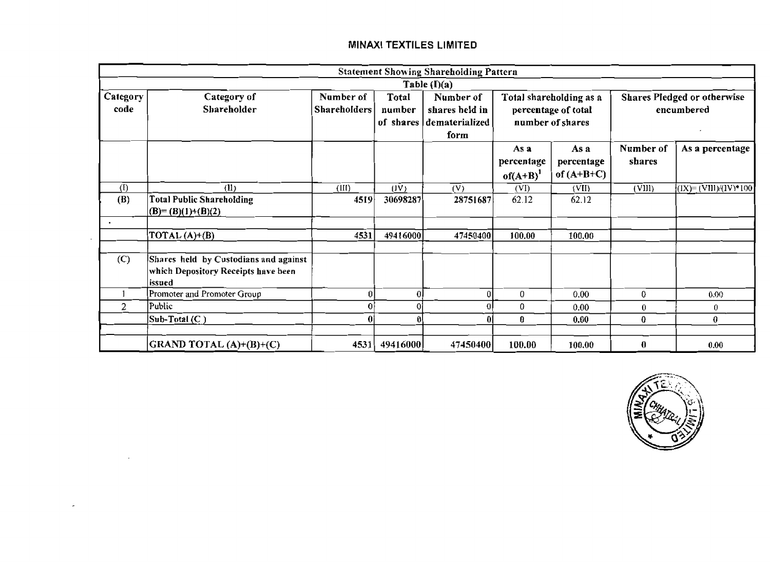|                  |                                                                                        |                                  |                  | <b>Statement Showing Shareholding Pattern</b>                                                                                                                                             |                                     |                                    |                     |                        |
|------------------|----------------------------------------------------------------------------------------|----------------------------------|------------------|-------------------------------------------------------------------------------------------------------------------------------------------------------------------------------------------|-------------------------------------|------------------------------------|---------------------|------------------------|
|                  |                                                                                        |                                  |                  | Table $(I)(a)$                                                                                                                                                                            |                                     |                                    |                     |                        |
| Category<br>code | Category of<br>Shareholder                                                             | Number of<br><b>Shareholders</b> | Total<br>number  | Number of<br><b>Shares Pledged or otherwise</b><br>Total shareholding as a<br>shares held in<br>percentage of total<br>encumbered<br>number of shares<br>of shares dematerialized<br>form |                                     |                                    |                     |                        |
|                  |                                                                                        |                                  |                  |                                                                                                                                                                                           | As a<br>percentage<br>$of(A+B)^{1}$ | As a<br>percentage<br>of $(A+B+C)$ | Number of<br>shares | As a percentage        |
| (1)              | (II)                                                                                   | (III)                            | (IV)             | (V)                                                                                                                                                                                       | (VI)                                | (VII)                              | (VIII)              | $(IX)=(VIII)/(IV)*100$ |
| (B)              | <b>Total Public Shareholding</b><br>$(B)=(B)(1)+(B)(2)$                                | 4519                             | 30698287         | 28751687                                                                                                                                                                                  | 62.12                               | 62.12                              |                     |                        |
|                  | $\overline{normal}(A)+(B)$                                                             | 4531                             | 49416000         | 47450400                                                                                                                                                                                  | 100.00                              | 100.00                             |                     |                        |
| (C)              | Shares held by Custodians and against<br>which Depository Receipts have been<br>issued |                                  |                  |                                                                                                                                                                                           |                                     |                                    |                     |                        |
|                  | Promoter and Promoter Group                                                            |                                  | $\boldsymbol{0}$ | 0                                                                                                                                                                                         | $\bf{0}$                            | 0.00                               | 0                   | 0.00                   |
| $\overline{2}$   | Public                                                                                 |                                  | 0                | ΩI                                                                                                                                                                                        | 0                                   | 0.00                               | $\bf{0}$            | 0                      |
|                  | $\mathsf{Sub}\text{-}\mathsf{Total}\left(\mathsf{C}\right)$                            |                                  | A                | $\bf{0}$                                                                                                                                                                                  | 0                                   | 0.00                               | 0                   | 0                      |
|                  | GRAND TOTAL (A)+(B)+(C)                                                                | 4531                             | 49416000         | 47450400                                                                                                                                                                                  | 100.00                              | 100.00                             | 0                   | 0.00                   |

 $\sim$ 

 $\sim$ 

 $\overline{a}$ 

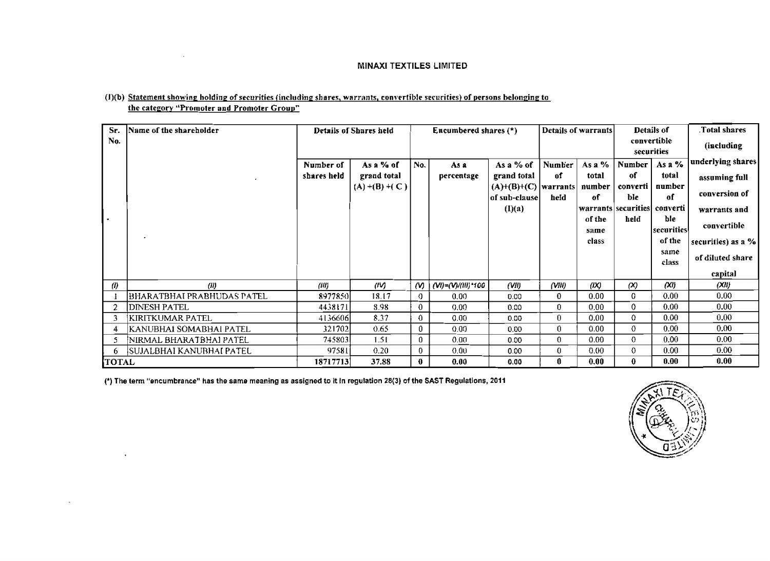| (I)(b) Statement showing holding of securities (including shares, warrants, convertible securities) of persons belonging to |  |
|-----------------------------------------------------------------------------------------------------------------------------|--|
| the category "Promoter and Promoter Group"                                                                                  |  |

 $\sim 10^{-1}$ 

 $\mathbf{r}$ 

 $\sim$ 

| Sr.<br>No.        | Name of the shareholder    | Details of Shares held   |                                               | Encumbered shares $(*)$ |                    |                                                                     | Details of warrants         |                                 | Details of<br>convertible<br>securities |                                 | Total shares<br>(including                          |
|-------------------|----------------------------|--------------------------|-----------------------------------------------|-------------------------|--------------------|---------------------------------------------------------------------|-----------------------------|---------------------------------|-----------------------------------------|---------------------------------|-----------------------------------------------------|
|                   |                            | Number of<br>shares held | As a % of<br>grand total<br>$(A) + (B) + (C)$ | No.                     | As a<br>percentage | As a % of<br>grand total<br>$(A)+(B)+(C)$ warrants<br>of sub-clause | <b>Number</b><br>of<br>held | As a %<br>total<br>number<br>of | <b>Number</b><br>оf<br>converti<br>ble  | As a %<br>total<br>number<br>of | underlying shares<br>assuming full<br>conversion of |
|                   |                            |                          |                                               |                         |                    | (I)(a)                                                              |                             | of the<br>same                  | warrants securities converti<br>held    | ble<br> securities              | warrants and<br>convertible                         |
|                   |                            |                          |                                               |                         |                    |                                                                     |                             | class                           |                                         | of the<br>same<br>class         | securities) as a $%$<br>of diluted share<br>capital |
| $\left( 0\right)$ | (II)                       | (III)                    | ШŊ                                            | M)                      | (VI)=(V)/(III)*100 | (VII)                                                               | (VIII)                      | (IX)                            | (x)                                     | (XI)                            | (XJ)                                                |
|                   | BHARATBHAI PRABHUDAS PATEL | 8977850                  | 18.17                                         | -0                      | 0.00               | 0.00                                                                | 0                           | 0.00                            | $\mathbf 0$                             | 0.00                            | 0.00                                                |
|                   | IDINESH PATEL              | 4438171                  | 8.98                                          | $\bf{0}$                | 0.00               | 0.00                                                                | $\mathbf{0}$                | 0.00                            | 0                                       | 0.00                            | 0.00                                                |
| 3                 | KIRITKUMAR PATEL           | 4136606                  | 8.37                                          | $\bf{0}$                | 0.00               | 0.00                                                                | 0.                          | 0.00                            | 0                                       | 0.00                            | 0.00                                                |
|                   | KANUBHAI SOMABHAI PATEL    | 3217021                  | 0.65                                          | 0                       | 0.00               | 0.00                                                                | 0                           | 0.00                            | $\mathbf 0$                             | 0.00 <sub>1</sub>               | 0.00                                                |
|                   | ¦NIRMAL BHARATBHAI PATEL   | 7458031                  | 1.51                                          | $\bf{0}$                | 0.00               | 0.00                                                                | $\mathbf{0}$                | 0.00                            | $\mathbf 0$                             | 0.00                            | 0.00                                                |
| 6.                | SUJALBHAI KANUBHAI PATEL   | 97581                    | 0.20                                          | $\bf{0}$                | 0.00               | 0.00                                                                | 0                           | 0.00                            | $\mathbf 0$                             | 0.00                            | 0.00                                                |
| <b>TOTAL</b>      |                            | 18717713                 | 37.88                                         | $\bf{0}$                | 0.00               | 0.00                                                                | 0.                          | 0.00                            | 0                                       | 0.00                            | 0.00                                                |

(\*) **The term "encumbrance" has the same meaning as assigned to it in regulation 28(3)** of **the SAST Regulations, 2011** 

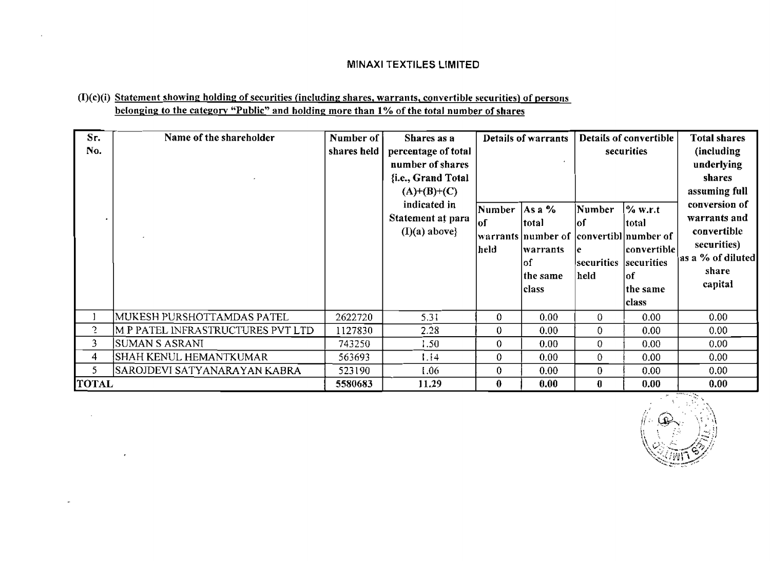# **(I)(c)(i) Statement showinp holding of securities (includinp shares, warrants, convertible securities) of persons belonging to the category "Public" and holding more than 1% of the total number of shares**

 $\lambda$ 

÷.

| Sr.<br>No.     | Name of the shareholder           | Number of<br>shares held | Shares as a<br>percentage of total<br>number of shares<br>{i.e., Grand Total<br>$(A)+(B)+(C)$<br>indicated in<br>Statement at para<br>$(I)(a)$ above} | Number<br>lof<br>held | Details of warrants<br>$ Asa\%$<br> total<br> warrants  number of   convertibl  number of<br>lwarrants<br>lof<br> the same<br>class | Number<br>lof<br>le.<br>securities<br>held | Details of convertible<br>securities<br>% w.r.t<br> total <br> convertible <br>securities<br>lof<br>the same<br> class | <b>Total shares</b><br>(including)<br>underlying<br>shares<br>assuming full<br>conversion of<br>warrants and<br>convertible<br>securities)<br>as a % of diluted<br>share<br>capital |
|----------------|-----------------------------------|--------------------------|-------------------------------------------------------------------------------------------------------------------------------------------------------|-----------------------|-------------------------------------------------------------------------------------------------------------------------------------|--------------------------------------------|------------------------------------------------------------------------------------------------------------------------|-------------------------------------------------------------------------------------------------------------------------------------------------------------------------------------|
|                | MUKESH PURSHOTTAMDAS PATEL        | 2622720                  | 5,31                                                                                                                                                  | 0                     | 0.00                                                                                                                                | 0                                          | 0.00                                                                                                                   | 0.00                                                                                                                                                                                |
| $\overline{c}$ | M P PATEL INFRASTRUCTURES PVT LTD | 1127830                  | 2.28                                                                                                                                                  | $\theta$              | 0.00                                                                                                                                | $\overline{0}$                             | 0.00                                                                                                                   | 0.00                                                                                                                                                                                |
| 3              | <b>SUMAN S ASRANI</b>             | 743250                   | 1.50                                                                                                                                                  | 0                     | 0.00                                                                                                                                | $\boldsymbol{0}$                           | 0.00                                                                                                                   | 0.00                                                                                                                                                                                |
| 4              | SHAH KENUL HEMANTKUMAR            | 563693                   | 1.14                                                                                                                                                  | 0                     | 0.00                                                                                                                                | $\theta$                                   | 0.00                                                                                                                   | 0.00                                                                                                                                                                                |
| 5              | SAROJDEVI SATYANARAYAN KABRA      | 523190                   | 1.06                                                                                                                                                  | $\theta$              | 0.00                                                                                                                                | $\bf{0}$                                   | 0.00                                                                                                                   | 0.00                                                                                                                                                                                |
| <b>TOTAL</b>   |                                   | 5580683                  | 11.29                                                                                                                                                 | $\bf{0}$              | 0.00                                                                                                                                | $\bf{0}$                                   | 0.00                                                                                                                   | 0.00                                                                                                                                                                                |

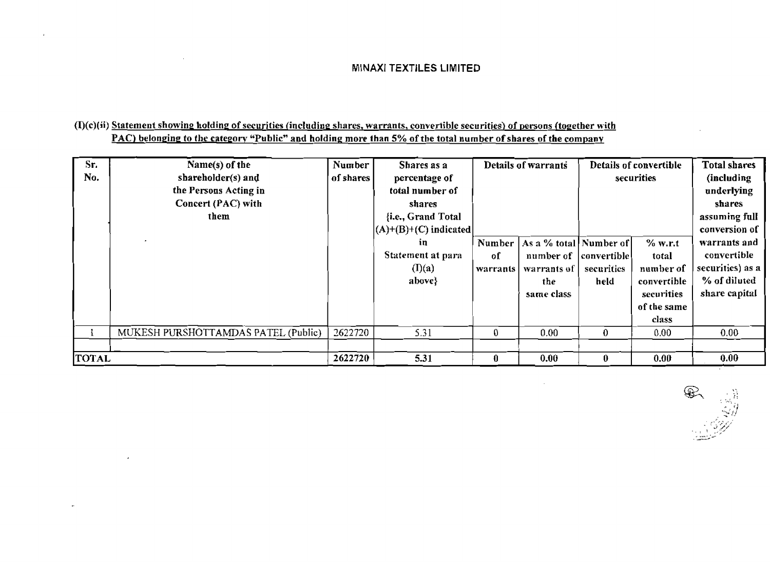### **(I)(c)(ii) Statement showing holdinp of securities (including shares, warrants, convertible securities) of persons (topether with PAC)** belonging to the category "Public" and holding more than 5% of the total number of shares of the company

 $\mathbf{r}$ 

 $\overline{a}$ 

| Sr.<br>No.   | Name(s) of the<br>shareholder(s) and<br>the Persons Acting in<br>Concert (PAC) with<br>them | Number<br>of shares | Shares as a<br>percentage of<br>total number of<br>shares<br>{i.e., Grand Total<br>$ (A)+(B)+(C)$ indicated | Details of warrants      |                                                                          | Details of convertible<br>securities |                                                                                      | <b>Total shares</b><br>(including<br>underlying<br>shares<br>assuming full<br>conversion of |
|--------------|---------------------------------------------------------------------------------------------|---------------------|-------------------------------------------------------------------------------------------------------------|--------------------------|--------------------------------------------------------------------------|--------------------------------------|--------------------------------------------------------------------------------------|---------------------------------------------------------------------------------------------|
|              |                                                                                             |                     | in<br>Statement at para<br>(I)(a)<br>$above\}$                                                              | Number<br>оf<br>warrants | As a % total Number of<br>number of<br>warrants of<br>the.<br>same class | convertible  <br>securities<br>held  | $%$ w.r.t<br>total<br>number of<br>convertible<br>securities<br>of the same<br>class | warrants and<br>convertible<br>securitics) as a<br>% of diluted<br>share capital            |
|              | MUKESH PURSHOTTAMDAS PATEL (Public)                                                         | 2622720             | 5.31                                                                                                        | $\bf{0}$                 | 0.00                                                                     | $\boldsymbol{0}$                     | 0.00.                                                                                | 0.00 <sub>1</sub>                                                                           |
| <b>TOTAL</b> |                                                                                             | 2622720             | 5.31                                                                                                        | $\bf{0}$                 | 0.00                                                                     | 0                                    | 0.00 <sub>1</sub>                                                                    | 0.00                                                                                        |

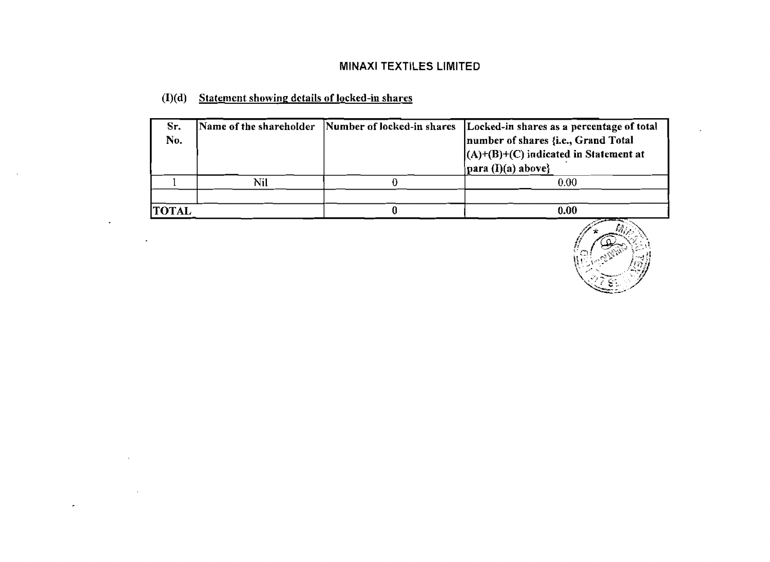# (I)(d) Statement showing details of locked-in shares

 $\sim$ 

 $\bar{z}$ 

k,

| Sr.<br>No.   |     | Name of the shareholder Number of locked-in shares Locked-in shares as a percentage of total<br>number of shares {i.e., Grand Total<br>$(A)+(B)+(C)$ indicated in Statement at<br>$\vert$ para (I)(a) above} |
|--------------|-----|--------------------------------------------------------------------------------------------------------------------------------------------------------------------------------------------------------------|
|              | Nil | 0.00                                                                                                                                                                                                         |
|              |     |                                                                                                                                                                                                              |
| <b>TOTAL</b> |     | 0.00                                                                                                                                                                                                         |

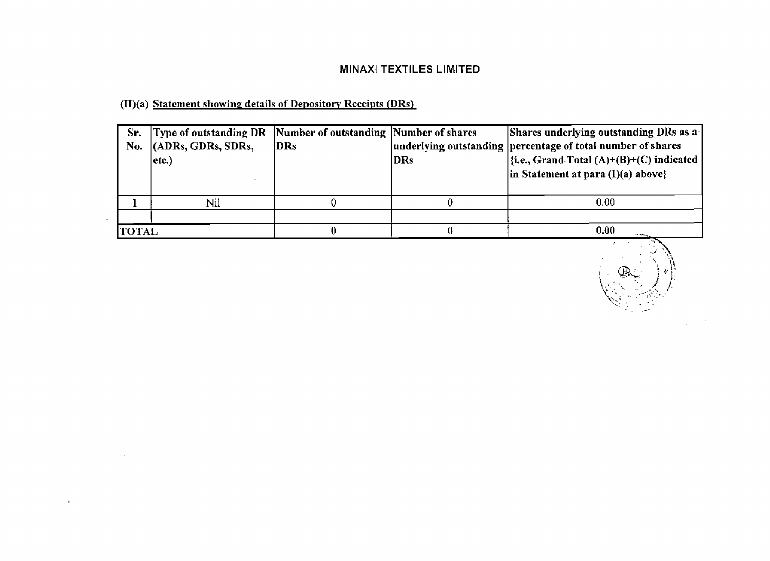# (II)(a) Statement showing details of Depository Receipts (DRs)

 $\ddot{\phantom{0}}$ 

**Contract Contract** 

 $\mathcal{L}^{\pm}$ 

| Sr.<br>No.    | Type of outstanding DR Number of outstanding Number of shares<br>(ADRs, GDRs, SDRs,<br>$ $ etc. $\rangle$ | DR <sub>S</sub> | DRs | Shares underlying outstanding DRs as a<br>underlying outstanding percentage of total number of shares<br>$\left \{\text{i.e., Grand Total (A)+(B)+(C) indicated}\right \right $<br>$\vert$ in Statement at para (I)(a) above} |
|---------------|-----------------------------------------------------------------------------------------------------------|-----------------|-----|-------------------------------------------------------------------------------------------------------------------------------------------------------------------------------------------------------------------------------|
|               | Nil                                                                                                       |                 |     | 0.00                                                                                                                                                                                                                          |
|               |                                                                                                           |                 |     |                                                                                                                                                                                                                               |
| <b> TOTAL</b> |                                                                                                           |                 |     | 0.00                                                                                                                                                                                                                          |

 $\begin{picture}(20,20) \put(0,0){\line(1,0){10}} \put(15,0){\line(1,0){10}} \put(15,0){\line(1,0){10}} \put(15,0){\line(1,0){10}} \put(15,0){\line(1,0){10}} \put(15,0){\line(1,0){10}} \put(15,0){\line(1,0){10}} \put(15,0){\line(1,0){10}} \put(15,0){\line(1,0){10}} \put(15,0){\line(1,0){10}} \put(15,0){\line(1,0){10}} \put(15,0){\line(1$